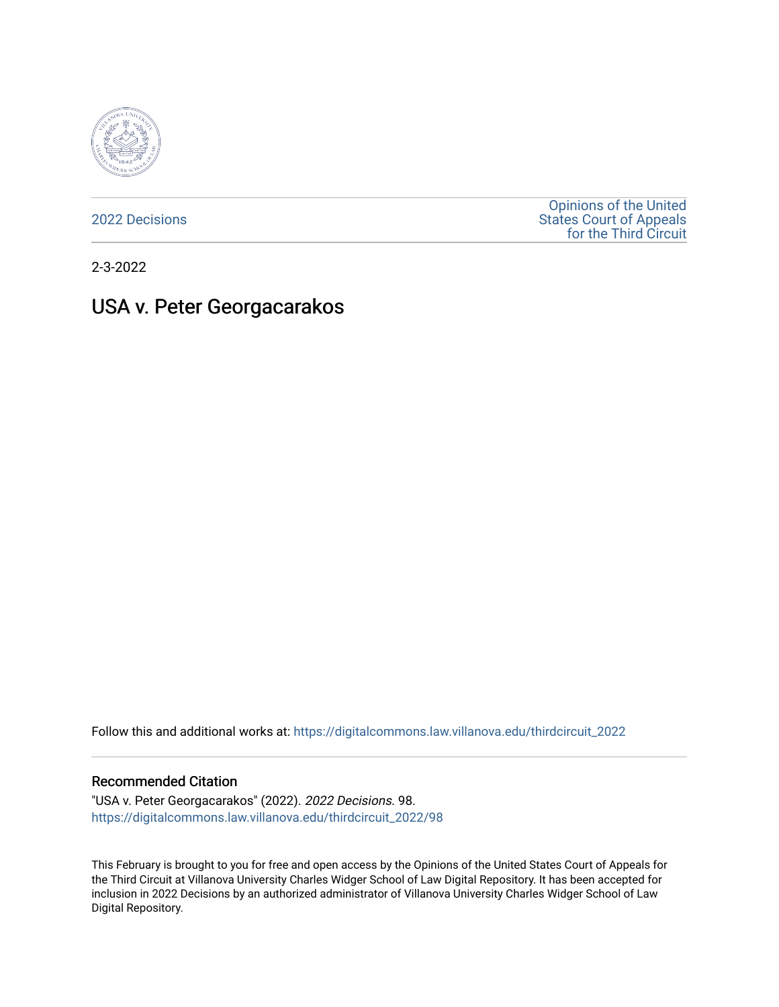

[2022 Decisions](https://digitalcommons.law.villanova.edu/thirdcircuit_2022)

[Opinions of the United](https://digitalcommons.law.villanova.edu/thirdcircuit)  [States Court of Appeals](https://digitalcommons.law.villanova.edu/thirdcircuit)  [for the Third Circuit](https://digitalcommons.law.villanova.edu/thirdcircuit) 

2-3-2022

# USA v. Peter Georgacarakos

Follow this and additional works at: [https://digitalcommons.law.villanova.edu/thirdcircuit\\_2022](https://digitalcommons.law.villanova.edu/thirdcircuit_2022?utm_source=digitalcommons.law.villanova.edu%2Fthirdcircuit_2022%2F98&utm_medium=PDF&utm_campaign=PDFCoverPages) 

#### Recommended Citation

"USA v. Peter Georgacarakos" (2022). 2022 Decisions. 98. [https://digitalcommons.law.villanova.edu/thirdcircuit\\_2022/98](https://digitalcommons.law.villanova.edu/thirdcircuit_2022/98?utm_source=digitalcommons.law.villanova.edu%2Fthirdcircuit_2022%2F98&utm_medium=PDF&utm_campaign=PDFCoverPages)

This February is brought to you for free and open access by the Opinions of the United States Court of Appeals for the Third Circuit at Villanova University Charles Widger School of Law Digital Repository. It has been accepted for inclusion in 2022 Decisions by an authorized administrator of Villanova University Charles Widger School of Law Digital Repository.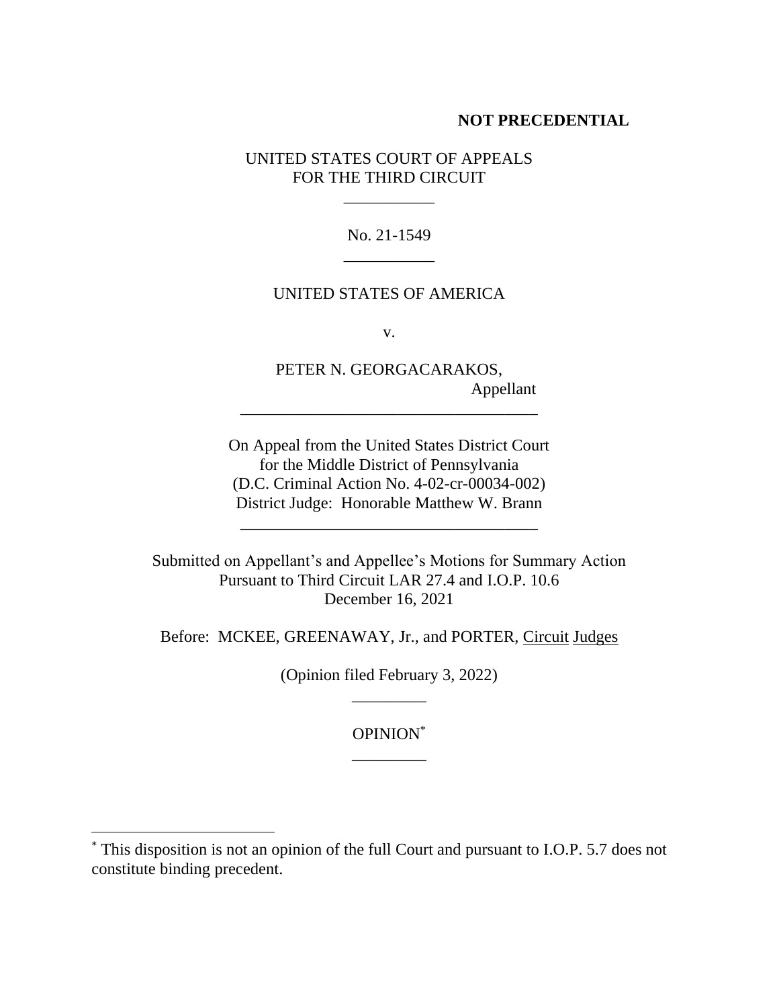## **NOT PRECEDENTIAL**

UNITED STATES COURT OF APPEALS FOR THE THIRD CIRCUIT

\_\_\_\_\_\_\_\_\_\_\_

No. 21-1549 \_\_\_\_\_\_\_\_\_\_\_

#### UNITED STATES OF AMERICA

v.

PETER N. GEORGACARAKOS, Appellant

On Appeal from the United States District Court for the Middle District of Pennsylvania (D.C. Criminal Action No. 4-02-cr-00034-002) District Judge: Honorable Matthew W. Brann

\_\_\_\_\_\_\_\_\_\_\_\_\_\_\_\_\_\_\_\_\_\_\_\_\_\_\_\_\_\_\_\_\_\_\_\_

\_\_\_\_\_\_\_\_\_\_\_\_\_\_\_\_\_\_\_\_\_\_\_\_\_\_\_\_\_\_\_\_\_\_\_\_

Submitted on Appellant's and Appellee's Motions for Summary Action Pursuant to Third Circuit LAR 27.4 and I.O.P. 10.6 December 16, 2021

Before: MCKEE, GREENAWAY, Jr., and PORTER, Circuit Judges

(Opinion filed February 3, 2022) \_\_\_\_\_\_\_\_\_

> OPINION\* \_\_\_\_\_\_\_\_\_

<sup>\*</sup> This disposition is not an opinion of the full Court and pursuant to I.O.P. 5.7 does not constitute binding precedent.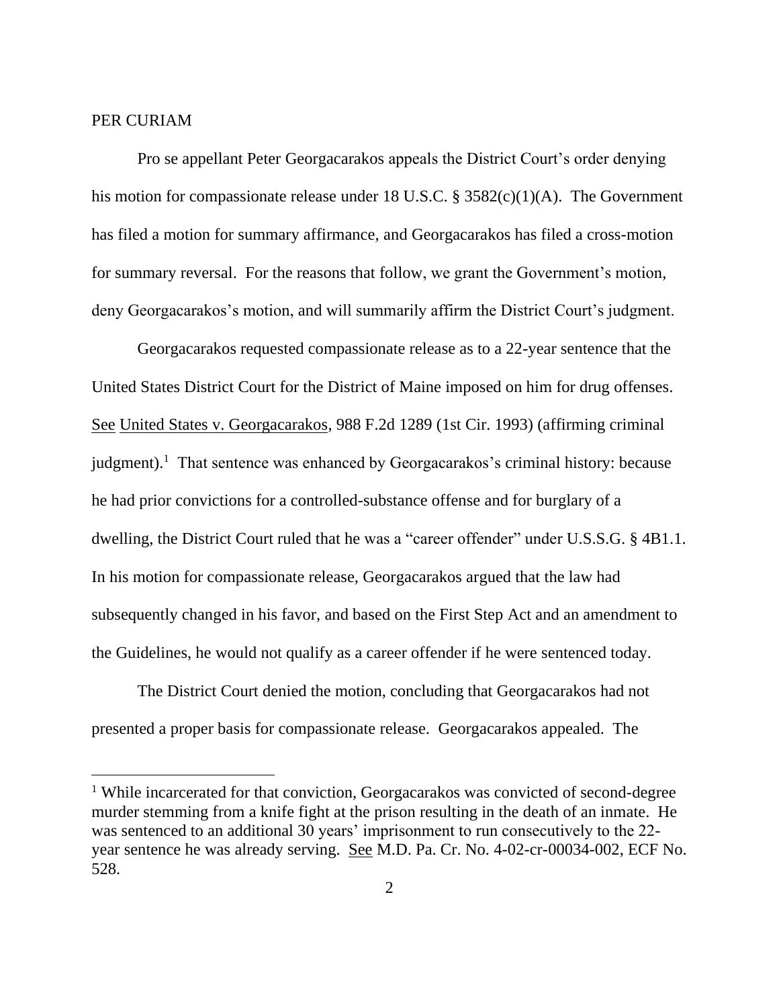## PER CURIAM

Pro se appellant Peter Georgacarakos appeals the District Court's order denying his motion for compassionate release under 18 U.S.C. § 3582(c)(1)(A). The Government has filed a motion for summary affirmance, and Georgacarakos has filed a cross-motion for summary reversal. For the reasons that follow, we grant the Government's motion, deny Georgacarakos's motion, and will summarily affirm the District Court's judgment.

Georgacarakos requested compassionate release as to a 22-year sentence that the United States District Court for the District of Maine imposed on him for drug offenses. See United States v. Georgacarakos, 988 F.2d 1289 (1st Cir. 1993) (affirming criminal judgment).<sup>1</sup> That sentence was enhanced by Georgacarakos's criminal history: because he had prior convictions for a controlled-substance offense and for burglary of a dwelling, the District Court ruled that he was a "career offender" under U.S.S.G. § 4B1.1. In his motion for compassionate release, Georgacarakos argued that the law had subsequently changed in his favor, and based on the First Step Act and an amendment to the Guidelines, he would not qualify as a career offender if he were sentenced today.

The District Court denied the motion, concluding that Georgacarakos had not presented a proper basis for compassionate release. Georgacarakos appealed. The

<sup>&</sup>lt;sup>1</sup> While incarcerated for that conviction, Georgacarakos was convicted of second-degree murder stemming from a knife fight at the prison resulting in the death of an inmate. He was sentenced to an additional 30 years' imprisonment to run consecutively to the 22 year sentence he was already serving. See M.D. Pa. Cr. No. 4-02-cr-00034-002, ECF No. 528.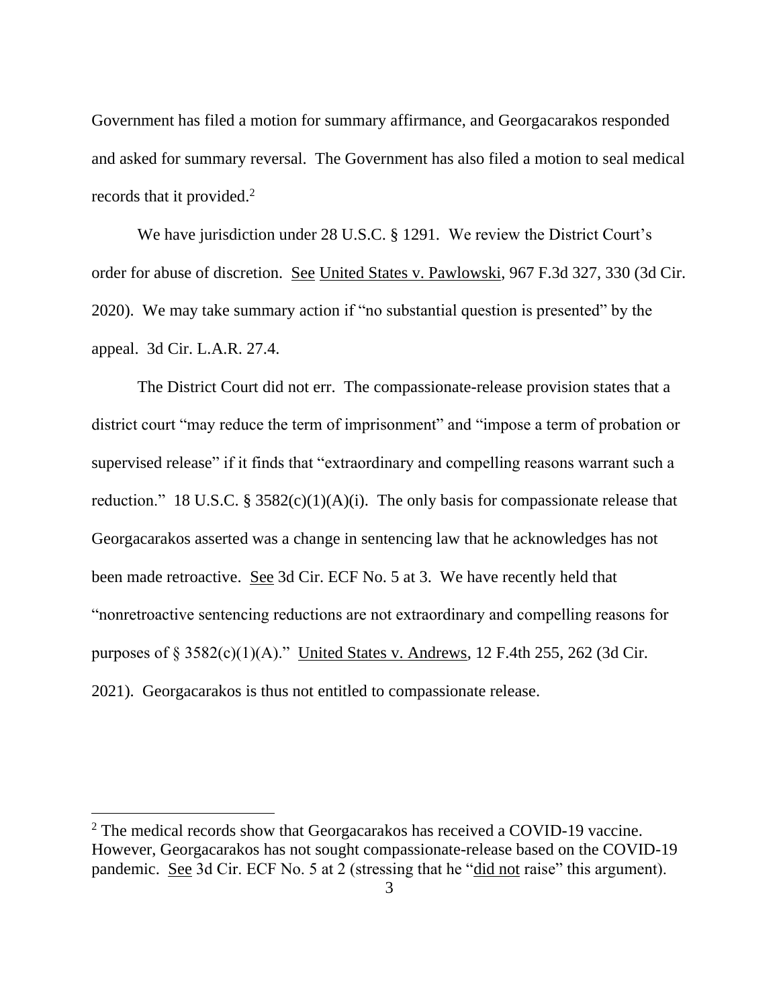Government has filed a motion for summary affirmance, and Georgacarakos responded and asked for summary reversal. The Government has also filed a motion to seal medical records that it provided.<sup>2</sup>

We have jurisdiction under 28 U.S.C. § 1291. We review the District Court's order for abuse of discretion. See United States v. Pawlowski, 967 F.3d 327, 330 (3d Cir. 2020). We may take summary action if "no substantial question is presented" by the appeal. 3d Cir. L.A.R. 27.4.

The District Court did not err. The compassionate-release provision states that a district court "may reduce the term of imprisonment" and "impose a term of probation or supervised release" if it finds that "extraordinary and compelling reasons warrant such a reduction." 18 U.S.C. § 3582 $(c)(1)(A)(i)$ . The only basis for compassionate release that Georgacarakos asserted was a change in sentencing law that he acknowledges has not been made retroactive. See 3d Cir. ECF No. 5 at 3. We have recently held that "nonretroactive sentencing reductions are not extraordinary and compelling reasons for purposes of  $\S 3582(c)(1)(A)$ ." United States v. Andrews, 12 F.4th 255, 262 (3d Cir. 2021). Georgacarakos is thus not entitled to compassionate release.

<sup>&</sup>lt;sup>2</sup> The medical records show that Georgacarakos has received a COVID-19 vaccine. However, Georgacarakos has not sought compassionate-release based on the COVID-19 pandemic. See 3d Cir. ECF No. 5 at 2 (stressing that he "did not raise" this argument).